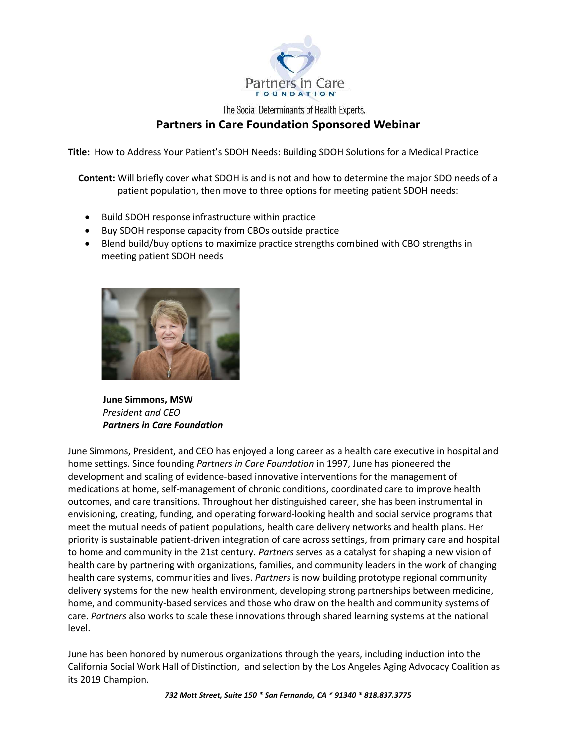

The Social Determinants of Health Experts.

## Partners in Care Foundation Sponsored Webinar

Title: How to Address Your Patient's SDOH Needs: Building SDOH Solutions for a Medical Practice

Content: Will briefly cover what SDOH is and is not and how to determine the major SDO needs of a patient population, then move to three options for meeting patient SDOH needs:

- Build SDOH response infrastructure within practice
- Buy SDOH response capacity from CBOs outside practice
- Blend build/buy options to maximize practice strengths combined with CBO strengths in meeting patient SDOH needs



 June Simmons, MSW President and CEO Partners in Care Foundation

June Simmons, President, and CEO has enjoyed a long career as a health care executive in hospital and home settings. Since founding Partners in Care Foundation in 1997, June has pioneered the development and scaling of evidence-based innovative interventions for the management of medications at home, self-management of chronic conditions, coordinated care to improve health outcomes, and care transitions. Throughout her distinguished career, she has been instrumental in envisioning, creating, funding, and operating forward-looking health and social service programs that meet the mutual needs of patient populations, health care delivery networks and health plans. Her priority is sustainable patient-driven integration of care across settings, from primary care and hospital to home and community in the 21st century. Partners serves as a catalyst for shaping a new vision of health care by partnering with organizations, families, and community leaders in the work of changing health care systems, communities and lives. Partners is now building prototype regional community delivery systems for the new health environment, developing strong partnerships between medicine, home, and community-based services and those who draw on the health and community systems of care. Partners also works to scale these innovations through shared learning systems at the national level.

June has been honored by numerous organizations through the years, including induction into the California Social Work Hall of Distinction, and selection by the Los Angeles Aging Advocacy Coalition as its 2019 Champion.